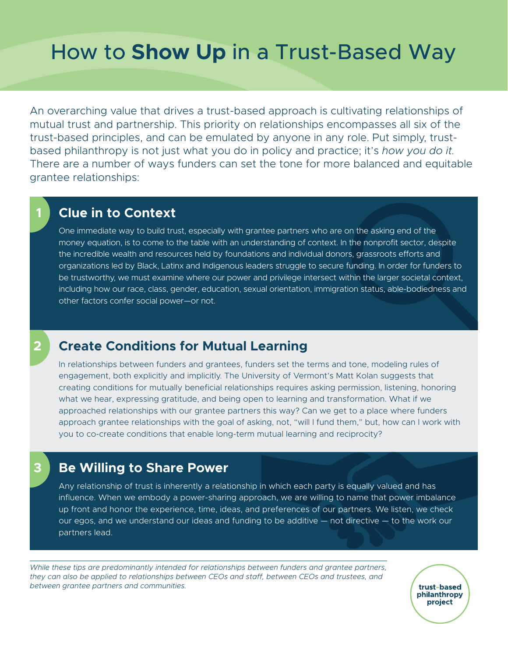# How to **Show Up** in a Trust-Based Way

An overarching value that drives a trust-based approach is cultivating relationships of mutual trust and partnership. This priority on relationships encompasses all six of the trust-based principles, and can be emulated by anyone in any role. Put simply, trustbased philanthropy is not just what you do in policy and practice; it's *how you do it.*  There are a number of ways funders can set the tone for more balanced and equitable grantee relationships:

### **Clue in to Context**

**1**

**2**

**3**

One immediate way to build trust, especially with grantee partners who are on the asking end of the money equation, is to come to the table with an understanding of context. In the nonprofit sector, despite the incredible wealth and resources held by foundations and individual donors, grassroots efforts and organizations led by Black, Latinx and Indigenous leaders struggle to secure funding. In order for funders to be trustworthy, we must examine where our power and privilege intersect within the larger societal context, including how our race, class, gender, education, sexual orientation, immigration status, able-bodiedness and other factors confer social power—or not.

# **Create Conditions for Mutual Learning**

In relationships between funders and grantees, funders set the terms and tone, modeling rules of engagement, both explicitly and implicitly. The University of Vermont's Matt Kolan suggests that creating conditions for mutually beneficial relationships requires asking permission, listening, honoring what we hear, expressing gratitude, and being open to learning and transformation. What if we approached relationships with our grantee partners this way? Can we get to a place where funders approach grantee relationships with the goal of asking, not, "will I fund them," but, how can I work with you to co-create conditions that enable long-term mutual learning and reciprocity?

#### **Be Willing to Share Power**

Any relationship of trust is inherently a relationship in which each party is equally valued and has influence. When we embody a power-sharing approach, we are willing to name that power imbalance up front and honor the experience, time, ideas, and preferences of our partners. We listen, we check our egos, and we understand our ideas and funding to be additive — not directive — to the work our partners lead.

While these tips are predominantly intended for relationships between funders and grantee partners, *they can also be applied to relationships between CEOs and staff, between CEOs and trustees, and between grantee partners and communities.*

trust-based philanthropy project